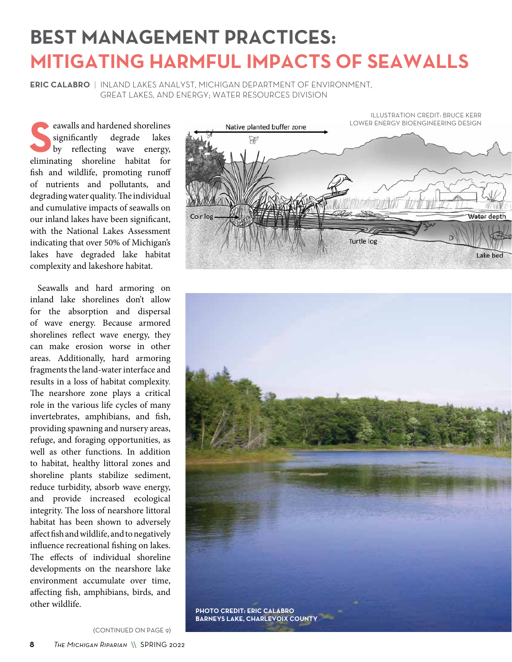## **BEST MANAGEMENT PRACTICES: MITIGATING HARMFUL IMPACTS OF SEAWALLS**

**ERIC CALABRO** | INLAND LAKES ANALYST, MICHIGAN DEPARTMENT OF ENVIRONMENT, GREAT LAKES, AND ENERGY; WATER RESOURCES DIVISION

Examples and hardened shorelines<br>
significantly degrade lakes<br>
by reflecting wave energy, significantly degrade lakes eliminating shoreline habitat for fish and wildlife, promoting runoff of nutrients and pollutants, and degrading water quality. The individual and cumulative impacts of seawalls on our inland lakes have been significant, with the National Lakes Assessment indicating that over 50% of Michigan's lakes have degraded lake habitat complexity and lakeshore habitat.

Seawalls and hard armoring on inland lake shorelines don't allow for the absorption and dispersal of wave energy. Because armored shorelines reflect wave energy, they can make erosion worse in other areas. Additionally, hard armoring fragments the land-water interface and results in a loss of habitat complexity. The nearshore zone plays a critical role in the various life cycles of many invertebrates, amphibians, and fish, providing spawning and nursery areas, refuge, and foraging opportunities, as well as other functions. In addition to habitat, healthy littoral zones and shoreline plants stabilize sediment, reduce turbidity, absorb wave energy, and provide increased ecological integrity. The loss of nearshore littoral habitat has been shown to adversely affect fish and wildlife, and to negatively influence recreational fishing on lakes. The effects of individual shoreline developments on the nearshore lake environment accumulate over time, affecting fish, amphibians, birds, and other wildlife.



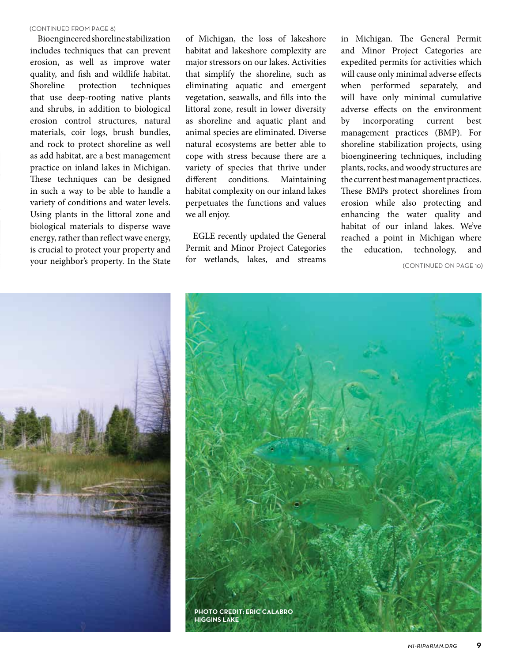#### (CONTINUED FROM PAGE 8)

Bioengineered shoreline stabilization includes techniques that can prevent erosion, as well as improve water quality, and fish and wildlife habitat. Shoreline protection techniques that use deep-rooting native plants and shrubs, in addition to biological erosion control structures, natural materials, coir logs, brush bundles, and rock to protect shoreline as well as add habitat, are a best management practice on inland lakes in Michigan. These techniques can be designed in such a way to be able to handle a variety of conditions and water levels. Using plants in the littoral zone and biological materials to disperse wave energy, rather than reflect wave energy, is crucial to protect your property and your neighbor's property. In the State

of Michigan, the loss of lakeshore habitat and lakeshore complexity are major stressors on our lakes. Activities that simplify the shoreline, such as eliminating aquatic and emergent vegetation, seawalls, and fills into the littoral zone, result in lower diversity as shoreline and aquatic plant and animal species are eliminated. Diverse natural ecosystems are better able to cope with stress because there are a variety of species that thrive under different conditions. Maintaining habitat complexity on our inland lakes perpetuates the functions and values we all enjoy.

EGLE recently updated the General Permit and Minor Project Categories for wetlands, lakes, and streams

in Michigan. The General Permit and Minor Project Categories are expedited permits for activities which will cause only minimal adverse effects when performed separately, and will have only minimal cumulative adverse effects on the environment by incorporating current best management practices (BMP). For shoreline stabilization projects, using bioengineering techniques, including plants, rocks, and woody structures are the current best management practices. These BMPs protect shorelines from erosion while also protecting and enhancing the water quality and habitat of our inland lakes. We've reached a point in Michigan where the education, technology, and

(CONTINUED ON PAGE 10)



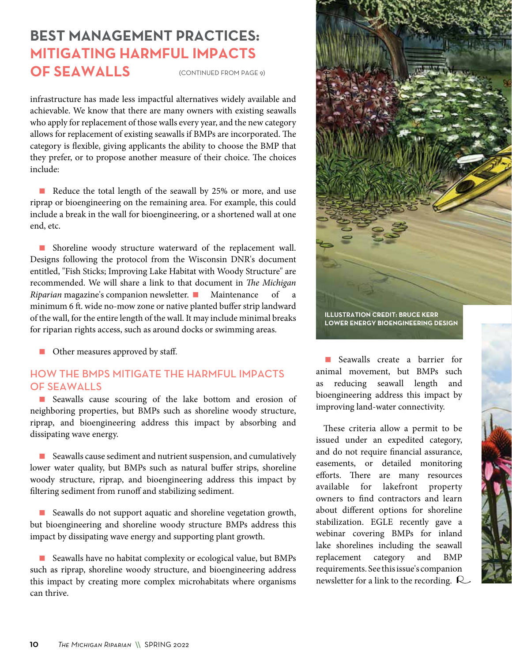### (CONTINUED FROM PAGE 9) **BEST MANAGEMENT PRACTICES: MITIGATING HARMFUL IMPACTS OF SEAWALLS**

infrastructure has made less impactful alternatives widely available and achievable. We know that there are many owners with existing seawalls who apply for replacement of those walls every year, and the new category allows for replacement of existing seawalls if BMPs are incorporated. The category is flexible, giving applicants the ability to choose the BMP that they prefer, or to propose another measure of their choice. The choices include:

Reduce the total length of the seawall by 25% or more, and use riprap or bioengineering on the remaining area. For example, this could include a break in the wall for bioengineering, or a shortened wall at one end, etc.

**B** Shoreline woody structure waterward of the replacement wall. Designs following the protocol from the Wisconsin DNR's document entitled, "Fish Sticks; Improving Lake Habitat with Woody Structure" are recommended. We will share a link to that document in *The Michigan Riparian* magazine's companion newsletter. **Maintenance** of minimum 6 ft. wide no-mow zone or native planted buffer strip landward of the wall, for the entire length of the wall. It may include minimal breaks for riparian rights access, such as around docks or swimming areas.

■ Other measures approved by staff.

#### HOW THE BMPS MITIGATE THE HARMFUL IMPACTS OF SEAWALLS

 Seawalls cause scouring of the lake bottom and erosion of neighboring properties, but BMPs such as shoreline woody structure, riprap, and bioengineering address this impact by absorbing and dissipating wave energy.

■ Seawalls cause sediment and nutrient suspension, and cumulatively lower water quality, but BMPs such as natural buffer strips, shoreline woody structure, riprap, and bioengineering address this impact by filtering sediment from runoff and stabilizing sediment.

Seawalls do not support aquatic and shoreline vegetation growth, but bioengineering and shoreline woody structure BMPs address this impact by dissipating wave energy and supporting plant growth.

■ Seawalls have no habitat complexity or ecological value, but BMPs such as riprap, shoreline woody structure, and bioengineering address this impact by creating more complex microhabitats where organisms can thrive.



Seawalls create a barrier for animal movement, but BMPs such as reducing seawall length and bioengineering address this impact by improving land-water connectivity.

These criteria allow a permit to be issued under an expedited category, and do not require financial assurance, easements, or detailed monitoring efforts. There are many resources available for lakefront property owners to find contractors and learn about different options for shoreline stabilization. EGLE recently gave a webinar covering BMPs for inland lake shorelines including the seawall replacement category and BMP requirements. See this issue's companion newsletter for a link to the recording.  $\mathcal{R}$